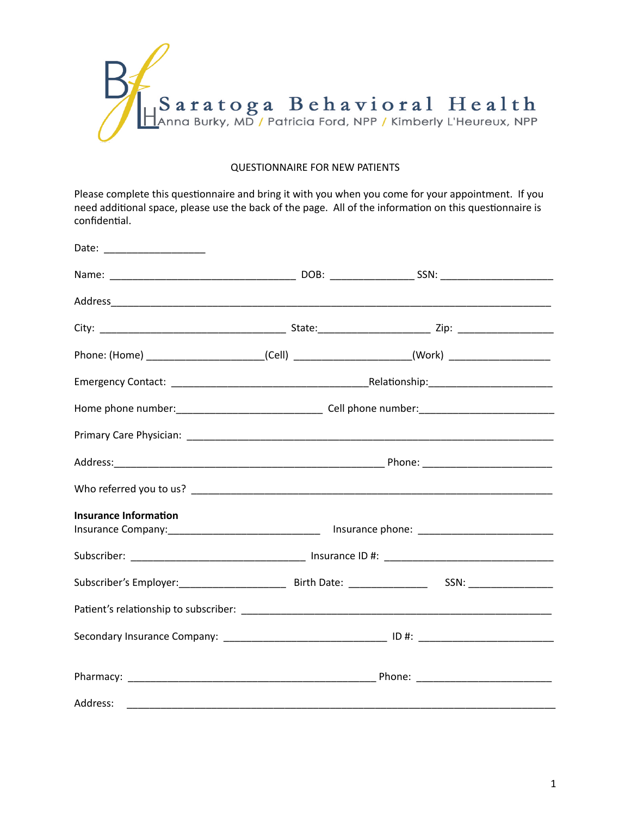

## QUESTIONNAIRE FOR NEW PATIENTS

Please complete this questionnaire and bring it with you when you come for your appointment. If you need additional space, please use the back of the page. All of the information on this questionnaire is confidential.

|                              |  | Phone: (Home) _________________________(Cell) _______________________(Work) ______________________ |  |
|------------------------------|--|----------------------------------------------------------------------------------------------------|--|
|                              |  |                                                                                                    |  |
|                              |  |                                                                                                    |  |
|                              |  |                                                                                                    |  |
|                              |  |                                                                                                    |  |
|                              |  |                                                                                                    |  |
| <b>Insurance Information</b> |  |                                                                                                    |  |
|                              |  |                                                                                                    |  |
|                              |  |                                                                                                    |  |
|                              |  |                                                                                                    |  |
|                              |  |                                                                                                    |  |
|                              |  |                                                                                                    |  |
|                              |  |                                                                                                    |  |
|                              |  |                                                                                                    |  |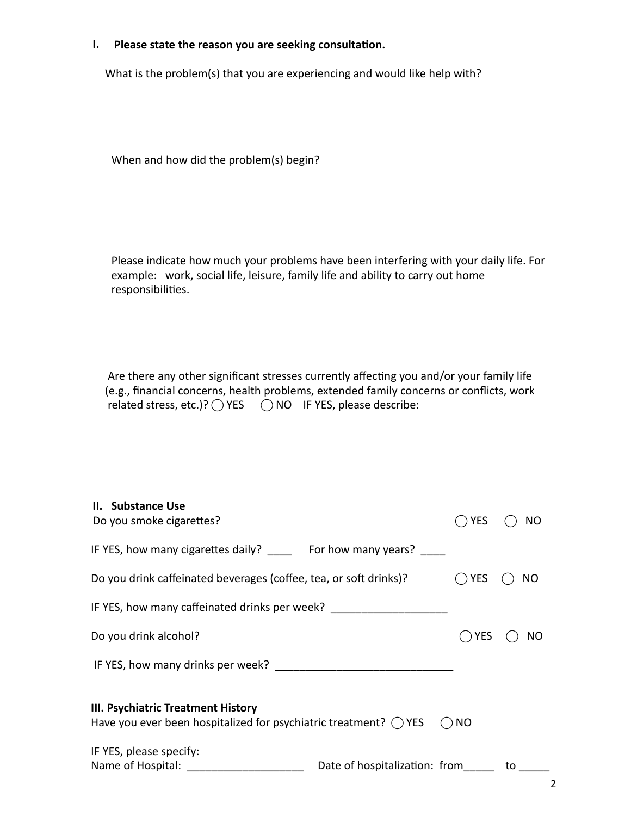## **I.** Please state the reason you are seeking consultation.

What is the problem(s) that you are experiencing and would like help with?

When and how did the problem(s) begin?

Please indicate how much your problems have been interfering with your daily life. For example: work, social life, leisure, family life and ability to carry out home responsibilities.

Are there any other significant stresses currently affecting you and/or your family life (e.g., financial concerns, health problems, extended family concerns or conflicts, work related stress, etc.)?  $\bigcirc$  YES  $\bigcirc$  NO IF YES, please describe:

| II. Substance Use<br>Do you smoke cigarettes?                                                                    |                               | <b>YES</b> | NO. |  |
|------------------------------------------------------------------------------------------------------------------|-------------------------------|------------|-----|--|
| IF YES, how many cigarettes daily? For how many years?                                                           |                               |            |     |  |
| Do you drink caffeinated beverages (coffee, tea, or soft drinks)?                                                |                               | YES        | NO. |  |
| IF YES, how many caffeinated drinks per week? __________________________________                                 |                               |            |     |  |
| Do you drink alcohol?                                                                                            |                               | <b>YES</b> | NO. |  |
|                                                                                                                  |                               |            |     |  |
| III. Psychiatric Treatment History<br>Have you ever been hospitalized for psychiatric treatment? $($ ) YES<br>NO |                               |            |     |  |
| IF YES, please specify:<br>Name of Hospital: Name of Hospital:                                                   | Date of hospitalization: from |            | to  |  |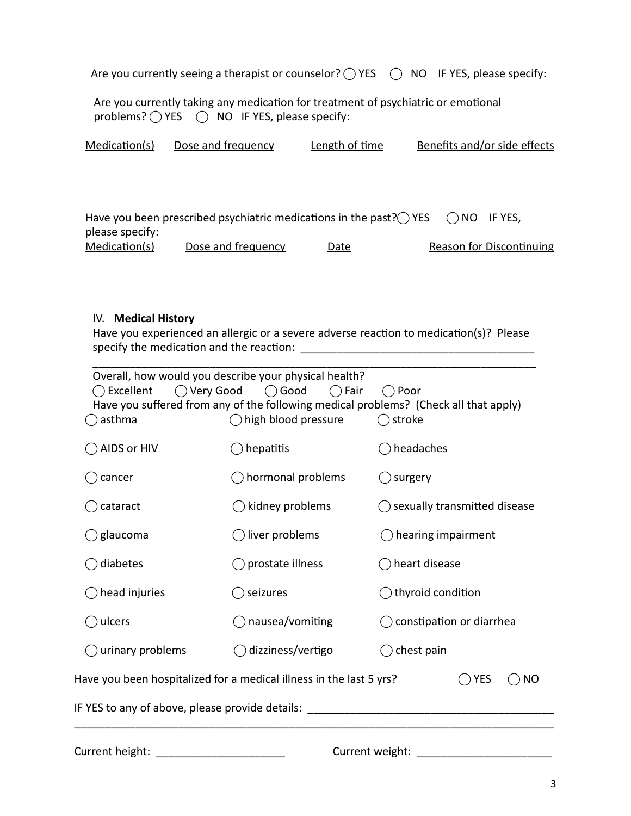| Are you currently seeing a therapist or counselor? $\bigcirc$ YES $\bigcirc$ NO IF YES, please specify: |  |  |
|---------------------------------------------------------------------------------------------------------|--|--|
|---------------------------------------------------------------------------------------------------------|--|--|

Are you currently taking any medication for treatment of psychiatric or emotional problems?  $\bigcirc$  YES  $\bigcirc$  NO IF YES, please specify:

| Medication(s)   | Dose and frequency                                                                                 | Length of time | Benefits and/or side effects |  |
|-----------------|----------------------------------------------------------------------------------------------------|----------------|------------------------------|--|
|                 |                                                                                                    |                |                              |  |
|                 |                                                                                                    |                |                              |  |
|                 |                                                                                                    |                |                              |  |
|                 | Have you been prescribed psychiatric medications in the past? $\bigcirc$ YES $\bigcirc$ NO IF YES, |                |                              |  |
| please specify: |                                                                                                    |                |                              |  |

| Medication(s) | Dose and frequency | Date | Reason for Discontinuing |
|---------------|--------------------|------|--------------------------|

## **IV.** Medical History

Have you experienced an allergic or a severe adverse reaction to medication(s)? Please specify the medica=on and the reac=on: \_\_\_\_\_\_\_\_\_\_\_\_\_\_\_\_\_\_\_\_\_\_\_\_\_\_\_\_\_\_\_\_\_\_\_\_\_\_ 

| Excellent<br>asthma                                                                            | Overall, how would you describe your physical health?<br>$\bigcirc$ Very Good $\bigcirc$ Good<br>$( )$ Fair<br>high blood pressure | Poor<br>Have you suffered from any of the following medical problems? (Check all that apply)<br>$\bigcirc$ stroke |  |
|------------------------------------------------------------------------------------------------|------------------------------------------------------------------------------------------------------------------------------------|-------------------------------------------------------------------------------------------------------------------|--|
| AIDS or HIV                                                                                    | hepatitis                                                                                                                          | headaches                                                                                                         |  |
| cancer                                                                                         | hormonal problems                                                                                                                  | ) surgery                                                                                                         |  |
| cataract                                                                                       | kidney problems                                                                                                                    | $\bigcirc$ sexually transmitted disease                                                                           |  |
| glaucoma                                                                                       | liver problems                                                                                                                     | $\bigcirc$ hearing impairment                                                                                     |  |
| diabetes                                                                                       | prostate illness                                                                                                                   | ◯ heart disease                                                                                                   |  |
| head injuries                                                                                  | seizures                                                                                                                           | thyroid condition                                                                                                 |  |
| ulcers                                                                                         | nausea/vomiting                                                                                                                    | constipation or diarrhea                                                                                          |  |
| urinary problems                                                                               | dizziness/vertigo                                                                                                                  | chest pain                                                                                                        |  |
| Have you been hospitalized for a medical illness in the last 5 yrs?<br><b>YES</b><br><b>NO</b> |                                                                                                                                    |                                                                                                                   |  |
| IF YES to any of above, please provide details:                                                |                                                                                                                                    |                                                                                                                   |  |